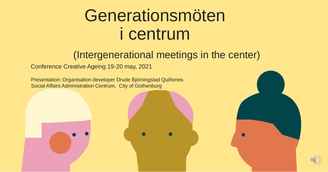# Generationsmöten i centrum

# (Intergenerational meetings in the center)

Conference Creative Ageing 19-20 may, 2021

Presentation: Organisation developer Drude Björningstad Quiñones Social Affairs Administration Centrum, City of Gothenburg



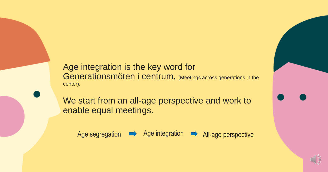Age integration is the key word for Generationsmöten i centrum, (Meetings across generations in the center).

We start from an all-age perspective and work to enable equal meetings.

Age segregation  $\implies$  Age integration  $\implies$  All-age perspective

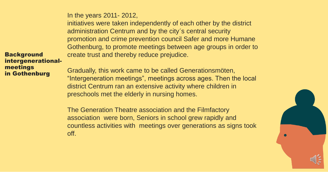**Background** intergenerationalmeetings in Gothenburg

In the years 2011- 2012,

initiatives were taken independently of each other by the district administration Centrum and by the city´s central security promotion and crime prevention council Safer and more Humane Gothenburg, to promote meetings between age groups in order to create trust and thereby reduce prejudice.

Gradually, this work came to be called Generationsmöten, "Intergeneration meetings", meetings across ages. Then the local district Centrum ran an extensive activity where children in preschools met the elderly in nursing homes.

The Generation Theatre association and the Filmfactory association were born, Seniors in school grew rapidly and countless activities with meetings over generations as signs took off.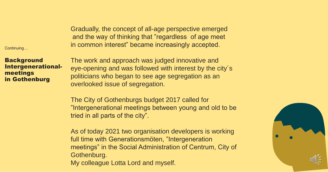Gradually, the concept of all-age perspective emerged and the way of thinking that "regardless of age meet in common interest" became increasingly accepted.

Continuing…

**Background** Intergenerationalmeetings in Gothenburg

The work and approach was judged innovative and eye-opening and was followed with interest by the city´s politicians who began to see age segregation as an overlooked issue of segregation.

The City of Gothenburgs budget 2017 called for "Intergenerational meetings between young and old to be tried in all parts of the city".

As of today 2021 two organisation developers is working full time with Generationsmöten, "Intergeneration meetings" in the Social Administration of Centrum, City of Gothenburg. My colleague Lotta Lord and myself.

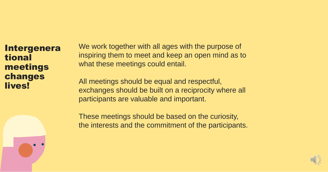Intergenera tional meetings changes lives!

We work together with all ages with the purpose of inspiring them to meet and keep an open mind as to what these meetings could entail.

All meetings should be equal and respectful, exchanges should be built on a reciprocity where all participants are valuable and important.

These meetings should be based on the curiosity, the interests and the commitment of the participants.

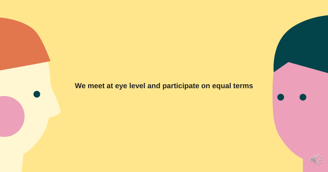# **We meet at eye level and participate on equal terms**

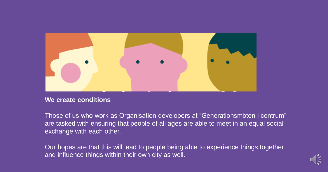

#### **We create conditions**

Those of us who work as Organisation developers at "Generationsmöten i centrum" are tasked with ensuring that people of all ages are able to meet in an equal social exchange with each other.

Our hopes are that this will lead to people being able to experience things together and influence things within their own city as well.

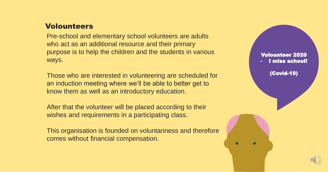#### Volounteers

Pre-school and elementary school volunteers are adults who act as an additional resource and their primary purpose is to help the children and the students in various ways.

Those who are interested in volunteering are scheduled for an induction meeting where we'll be able to better get to know them as well as an introductory education.

After that the volunteer will be placed according to their wishes and requirements in a participating class.

This organisation is founded on voluntariness and therefore comes without financial compensation.

#### Volounteer 2020 I miss school!

(Covid-19)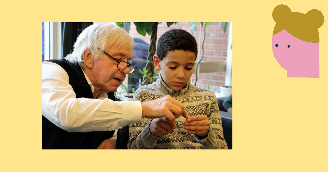

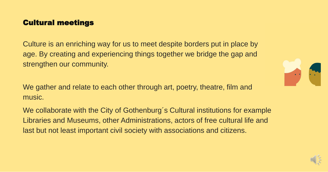### Cultural meetings

Culture is an enriching way for us to meet despite borders put in place by age. By creating and experiencing things together we bridge the gap and strengthen our community.

We gather and relate to each other through art, poetry, theatre, film and music.

We collaborate with the City of Gothenburg's Cultural institutions for example Libraries and Museums, other Administrations, actors of free cultural life and last but not least important civil society with associations and citizens.



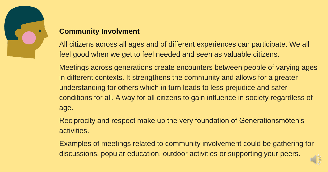

## **Community Involvment**

All citizens across all ages and of different experiences can participate. We all feel good when we get to feel needed and seen as valuable citizens.

Meetings across generations create encounters between people of varying ages in different contexts. It strengthens the community and allows for a greater understanding for others which in turn leads to less prejudice and safer conditions for all. A way for all citizens to gain influence in society regardless of age.

Reciprocity and respect make up the very foundation of Generationsmöten's activities.

Examples of meetings related to community involvement could be gathering for discussions, popular education, outdoor activities or supporting your peers.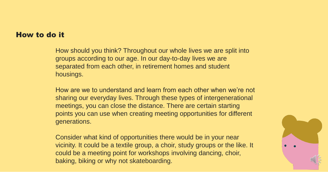#### How to do it

How should you think? Throughout our whole lives we are split into groups according to our age. In our day-to-day lives we are separated from each other, in retirement homes and student housings.

How are we to understand and learn from each other when we're not sharing our everyday lives. Through these types of intergenerational meetings, you can close the distance. There are certain starting points you can use when creating meeting opportunities for different generations.

Consider what kind of opportunities there would be in your near vicinity. It could be a textile group, a choir, study groups or the like. It could be a meeting point for workshops involving dancing, choir, baking, biking or why not skateboarding.

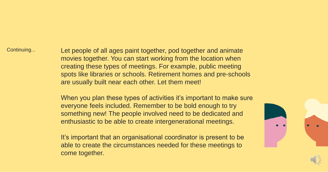Continuing...

Let people of all ages paint together, pod together and animate movies together. You can start working from the location when creating these types of meetings. For example, public meeting spots like libraries or schools. Retirement homes and pre-schools are usually built near each other. Let them meet!

When you plan these types of activities it's important to make sure everyone feels included. Remember to be bold enough to try something new! The people involved need to be dedicated and enthusiastic to be able to create intergenerational meetings.

It's important that an organisational coordinator is present to be able to create the circumstances needed for these meetings to come together.

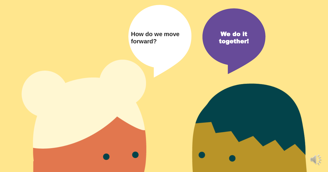